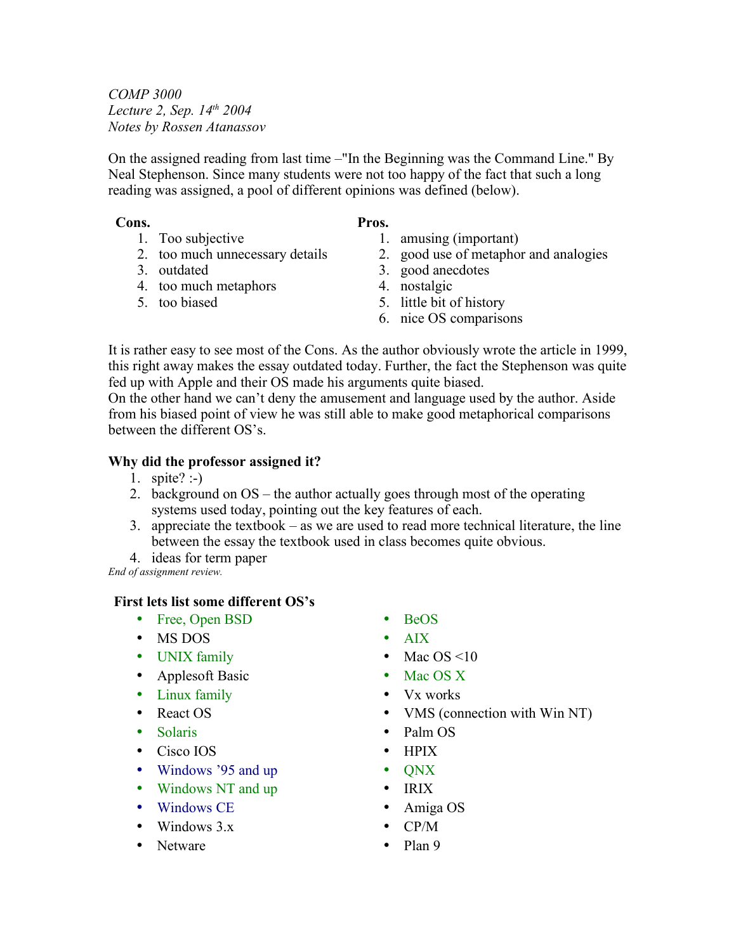*COMP 3000 Lecture 2, Sep. 14th 2004 Notes by Rossen Atanassov*

1. Too subjective

3. outdated

5. too biased

2. too much unnecessary details

4. too much metaphors

On the assigned reading from last time –"In the Beginning was the Command Line." By Neal Stephenson. Since many students were not too happy of the fact that such a long reading was assigned, a pool of different opinions was defined (below).

#### **Cons. Pros.**

- 1. amusing (important)
	- 2. good use of metaphor and analogies
	- 3. good anecdotes
	- 4. nostalgic
	- 5. little bit of history
	- 6. nice OS comparisons

It is rather easy to see most of the Cons. As the author obviously wrote the article in 1999, this right away makes the essay outdated today. Further, the fact the Stephenson was quite fed up with Apple and their OS made his arguments quite biased.

On the other hand we can't deny the amusement and language used by the author. Aside from his biased point of view he was still able to make good metaphorical comparisons between the different OS's.

### **Why did the professor assigned it?**

- 1. spite? :- $)$
- 2. background on OS the author actually goes through most of the operating systems used today, pointing out the key features of each.
- 3. appreciate the textbook as we are used to read more technical literature, the line between the essay the textbook used in class becomes quite obvious.
- 4. ideas for term paper

*End of assignment review.*

# **First lets list some different OS's**

- Free, Open BSD
- MS DOS
- UNIX family
- Applesoft Basic
- Linux family
- React OS
- Solaris
- Cisco IOS
- Windows '95 and up
- Windows NT and up
- Windows CE
- Windows  $3.x$
- Netware
- BeOS
- Mac  $OS \leq 10$
- Mac OS X
- Vx works
- VMS (connection with Win NT)
- Palm OS
- 
- 
- IRIX
- Amiga OS
- CP/M
- Plan 9
- AIX
	-
- 
- 
- 
- 
- HPIX
- QNX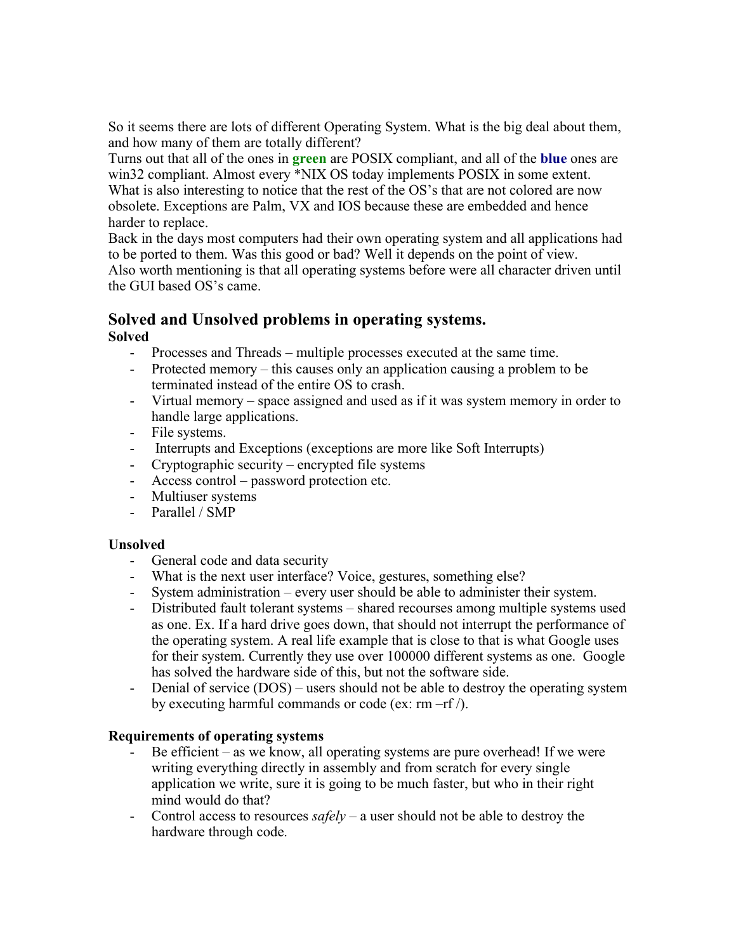So it seems there are lots of different Operating System. What is the big deal about them, and how many of them are totally different?

Turns out that all of the ones in **green** are POSIX compliant, and all of the **blue** ones are win32 compliant. Almost every \*NIX OS today implements POSIX in some extent. What is also interesting to notice that the rest of the OS's that are not colored are now obsolete. Exceptions are Palm, VX and IOS because these are embedded and hence harder to replace.

Back in the days most computers had their own operating system and all applications had to be ported to them. Was this good or bad? Well it depends on the point of view. Also worth mentioning is that all operating systems before were all character driven until the GUI based OS's came.

#### **Solved and Unsolved problems in operating systems. Solved**

- Processes and Threads multiple processes executed at the same time.
- Protected memory this causes only an application causing a problem to be terminated instead of the entire OS to crash.
- Virtual memory space assigned and used as if it was system memory in order to handle large applications.
- File systems.
- Interrupts and Exceptions (exceptions are more like Soft Interrupts)
- Cryptographic security encrypted file systems
- Access control password protection etc.
- Multiuser systems
- Parallel / SMP

# **Unsolved**

- General code and data security
- What is the next user interface? Voice, gestures, something else?
- System administration every user should be able to administer their system.
- Distributed fault tolerant systems shared recourses among multiple systems used as one. Ex. If a hard drive goes down, that should not interrupt the performance of the operating system. A real life example that is close to that is what Google uses for their system. Currently they use over 100000 different systems as one. Google has solved the hardware side of this, but not the software side.
- Denial of service (DOS) users should not be able to destroy the operating system by executing harmful commands or code (ex:  $rm -rf$ ).

# **Requirements of operating systems**

- Be efficient as we know, all operating systems are pure overhead! If we were writing everything directly in assembly and from scratch for every single application we write, sure it is going to be much faster, but who in their right mind would do that?
- Control access to resources *safely* a user should not be able to destroy the hardware through code.